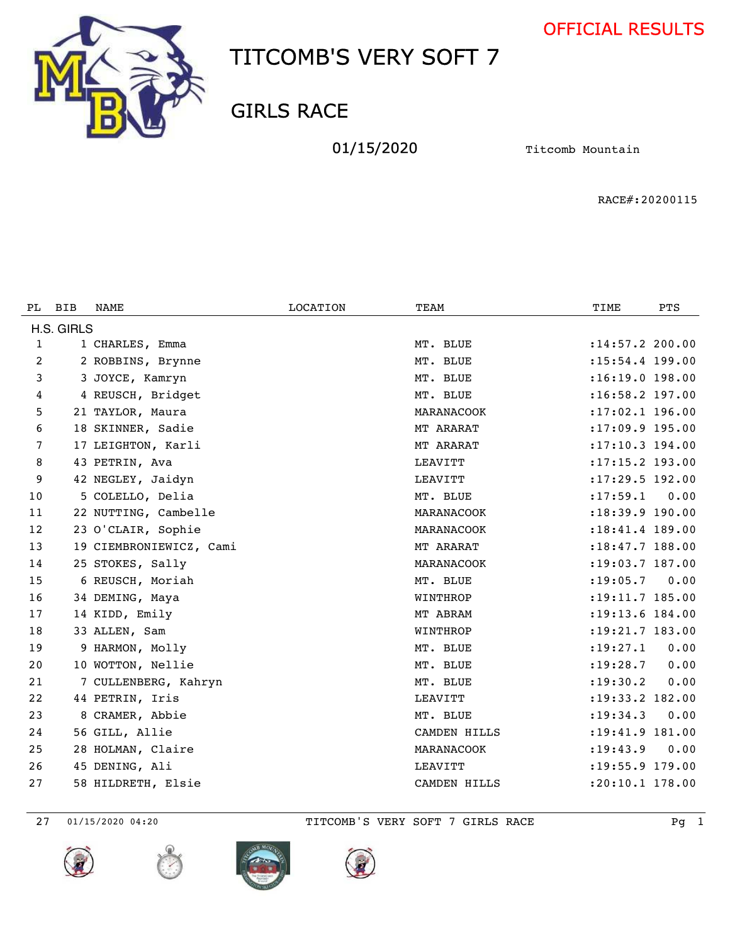



GIRLS RACE

01/15/2020 **Titcomb Mountain** 

RACE#:20200115

| PL.            | <b>BIB</b> | NAME                    | <b>LOCATION</b> | TEAM         | TIME                | <b>PTS</b> |
|----------------|------------|-------------------------|-----------------|--------------|---------------------|------------|
|                | H.S. GIRLS |                         |                 |              |                     |            |
| 1              |            | 1 CHARLES, Emma         |                 | MT. BLUE     | $: 14:57.2$ 200.00  |            |
| $\overline{2}$ |            | 2 ROBBINS, Brynne       |                 | MT. BLUE     | $: 15:54.4$ 199.00  |            |
| 3              |            | 3 JOYCE, Kamryn         |                 | MT. BLUE     | $:16:19.0$ 198.00   |            |
| 4              |            | 4 REUSCH, Bridget       |                 | MT. BLUE     | :16:58.2 197.00     |            |
| 5              |            | 21 TAYLOR, Maura        |                 | MARANACOOK   | $: 17:02.1$ 196.00  |            |
| 6              |            | 18 SKINNER, Sadie       |                 | MT ARARAT    | $: 17:09.9$ 195.00  |            |
| 7              |            | 17 LEIGHTON, Karli      |                 | MT ARARAT    | $: 17:10.3$ 194.00  |            |
| 8              |            | 43 PETRIN, Ava          |                 | LEAVITT      | :17:15.2 193.00     |            |
| 9              |            | 42 NEGLEY, Jaidyn       |                 | LEAVITT      | :17:29.5 192.00     |            |
| 10             |            | 5 COLELLO, Delia        |                 | MT. BLUE     | : 17: 59.1          | 0.00       |
| 11             |            | 22 NUTTING, Cambelle    |                 | MARANACOOK   | : 18: 39.9 190.00   |            |
| 12             |            | 23 O'CLAIR, Sophie      |                 | MARANACOOK   | : 18: 41. 4 189. 00 |            |
| 13             |            | 19 CIEMBRONIEWICZ, Cami |                 | MT ARARAT    | :18:47.7 188.00     |            |
| 14             |            | 25 STOKES, Sally        |                 | MARANACOOK   | $: 19:03.7$ 187.00  |            |
| 15             |            | 6 REUSCH, Moriah        |                 | MT. BLUE     | : 19: 05.7          | 0.00       |
| 16             |            | 34 DEMING, Maya         |                 | WINTHROP     | $: 19: 11.7$ 185.00 |            |
| 17             |            | 14 KIDD, Emily          |                 | MT ABRAM     | :19:13.6 184.00     |            |
| 18             |            | 33 ALLEN, Sam           |                 | WINTHROP     | $: 19: 21.7$ 183.00 |            |
| 19             |            | 9 HARMON, Molly         |                 | MT. BLUE     | : 19: 27.1          | 0.00       |
| 20             |            | 10 WOTTON, Nellie       |                 | MT. BLUE     | : 19: 28.7          | 0.00       |
| 21             |            | 7 CULLENBERG, Kahryn    |                 | MT. BLUE     | : 19: 30.2          | 0.00       |
| 22             |            | 44 PETRIN, Iris         |                 | LEAVITT      | :19:33.2 182.00     |            |
| 23             |            | 8 CRAMER, Abbie         |                 | MT. BLUE     | : 19: 34.3          | 0.00       |
| 24             |            | 56 GILL, Allie          |                 | CAMDEN HILLS | :19:41.9 181.00     |            |
| 25             |            | 28 HOLMAN, Claire       |                 | MARANACOOK   | : 19: 43.9          | 0.00       |
| 26             |            | 45 DENING, Ali          |                 | LEAVITT      | :19:55.9 179.00     |            |
| 27             |            | 58 HILDRETH, Elsie      |                 | CAMDEN HILLS | :20:10.1 178.00     |            |









01/15/2020 04:20 TITCOMB'S VERY SOFT 7 GIRLS RACE Pg 1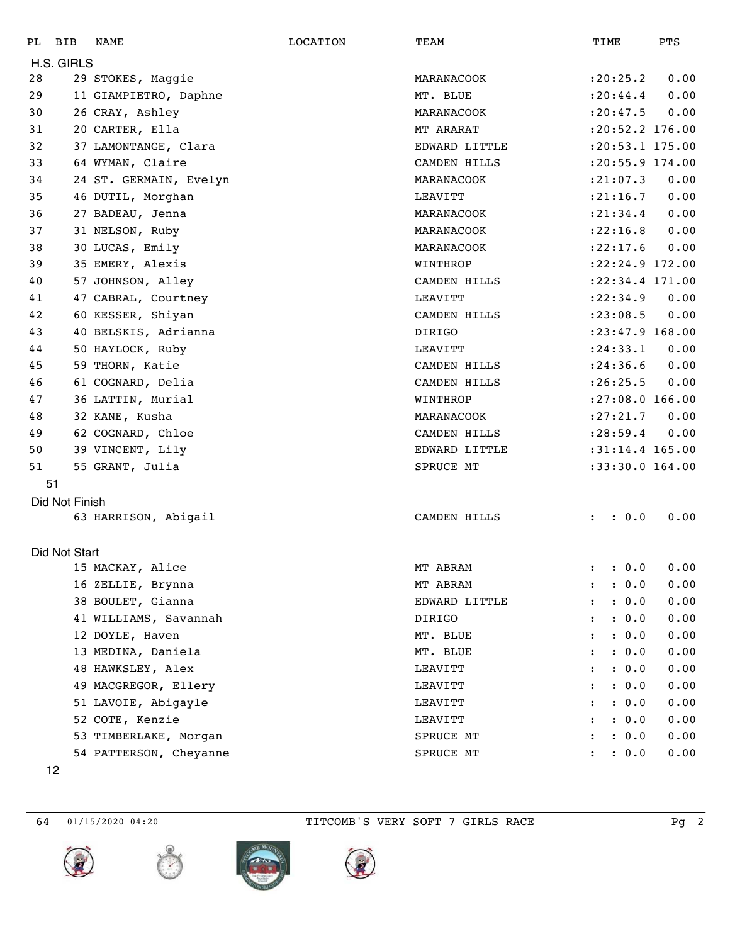| PL         | BIB            | NAME                   | <b>LOCATION</b> | TEAM          | TIME                 |       | PTS                 |  |  |  |
|------------|----------------|------------------------|-----------------|---------------|----------------------|-------|---------------------|--|--|--|
| H.S. GIRLS |                |                        |                 |               |                      |       |                     |  |  |  |
| 28         |                | 29 STOKES, Maggie      |                 | MARANACOOK    | : 20: 25.2           |       | 0.00                |  |  |  |
| 29         |                | 11 GIAMPIETRO, Daphne  |                 | MT. BLUE      | : 20: 44.4           |       | 0.00                |  |  |  |
| 30         |                | 26 CRAY, Ashley        |                 | MARANACOOK    | : 20: 47.5           |       | 0.00                |  |  |  |
| 31         |                | 20 CARTER, Ella        |                 | MT ARARAT     |                      |       | $: 20:52.2$ 176.00  |  |  |  |
| 32         |                | 37 LAMONTANGE, Clara   |                 | EDWARD LITTLE |                      |       | $: 20: 53.1$ 175.00 |  |  |  |
| 33         |                | 64 WYMAN, Claire       |                 | CAMDEN HILLS  |                      |       | :20:55.9 174.00     |  |  |  |
| 34         |                | 24 ST. GERMAIN, Evelyn |                 | MARANACOOK    | : 21:07.3            |       | 0.00                |  |  |  |
| 35         |                | 46 DUTIL, Morghan      |                 | LEAVITT       | : 21: 16.7           |       | 0.00                |  |  |  |
| 36         |                | 27 BADEAU, Jenna       |                 | MARANACOOK    | : 21: 34.4           |       | 0.00                |  |  |  |
| 37         |                | 31 NELSON, Ruby        |                 | MARANACOOK    | : 22: 16.8           |       | 0.00                |  |  |  |
| 38         |                | 30 LUCAS, Emily        |                 | MARANACOOK    | : 22: 17.6           |       | 0.00                |  |  |  |
| 39         |                | 35 EMERY, Alexis       |                 | WINTHROP      |                      |       | :22:24.9 172.00     |  |  |  |
| 40         |                | 57 JOHNSON, Alley      |                 | CAMDEN HILLS  |                      |       | :22:34.4 171.00     |  |  |  |
| 41         |                | 47 CABRAL, Courtney    |                 | LEAVITT       | : 22: 34.9           |       | 0.00                |  |  |  |
| 42         |                | 60 KESSER, Shiyan      |                 | CAMDEN HILLS  | : 23:08.5            |       | 0.00                |  |  |  |
| 43         |                | 40 BELSKIS, Adrianna   |                 | <b>DIRIGO</b> |                      |       | $: 23: 47.9$ 168.00 |  |  |  |
| 44         |                | 50 HAYLOCK, Ruby       |                 | LEAVITT       | : 24: 33.1           |       | 0.00                |  |  |  |
| 45         |                | 59 THORN, Katie        |                 | CAMDEN HILLS  | : 24:36.6            |       | 0.00                |  |  |  |
| 46         |                | 61 COGNARD, Delia      |                 | CAMDEN HILLS  | : 26: 25.5           |       | 0.00                |  |  |  |
| 47         |                | 36 LATTIN, Murial      |                 | WINTHROP      |                      |       | $: 27:08.0$ 166.00  |  |  |  |
| 48         |                | 32 KANE, Kusha         |                 | MARANACOOK    | : 27: 21.7           |       | 0.00                |  |  |  |
| 49         |                | 62 COGNARD, Chloe      |                 | CAMDEN HILLS  | : 28:59.4            |       | 0.00                |  |  |  |
| 50         |                | 39 VINCENT, Lily       |                 | EDWARD LITTLE |                      |       | $:31:14.4$ 165.00   |  |  |  |
| 51         |                | 55 GRANT, Julia        |                 | SPRUCE MT     |                      |       | :33:30.0 164.00     |  |  |  |
|            | 51             |                        |                 |               |                      |       |                     |  |  |  |
|            | Did Not Finish |                        |                 |               |                      |       |                     |  |  |  |
|            |                | 63 HARRISON, Abigail   |                 | CAMDEN HILLS  | $\ddot{\phantom{a}}$ | : 0.0 | 0.00                |  |  |  |
|            |                |                        |                 |               |                      |       |                     |  |  |  |
|            | Did Not Start  |                        |                 |               |                      |       |                     |  |  |  |
|            |                | 15 MACKAY, Alice       |                 | MT ABRAM      |                      | : 0.0 | 0.00                |  |  |  |
|            |                | 16 ZELLIE, Brynna      |                 | MT ABRAM      |                      | : 0.0 | 0.00                |  |  |  |
|            |                | 38 BOULET, Gianna      |                 | EDWARD LITTLE |                      | : 0.0 | 0.00                |  |  |  |
|            |                | 41 WILLIAMS, Savannah  |                 | <b>DIRIGO</b> |                      | : 0.0 | 0.00                |  |  |  |
|            |                | 12 DOYLE, Haven        |                 | MT. BLUE      |                      | : 0.0 | 0.00                |  |  |  |
|            |                | 13 MEDINA, Daniela     |                 | MT. BLUE      |                      | : 0.0 | 0.00                |  |  |  |
|            |                | 48 HAWKSLEY, Alex      |                 | LEAVITT       |                      | : 0.0 | 0.00                |  |  |  |
|            |                | 49 MACGREGOR, Ellery   |                 | LEAVITT       |                      | : 0.0 | 0.00                |  |  |  |
|            |                | 51 LAVOIE, Abigayle    |                 | LEAVITT       |                      | : 0.0 | 0.00                |  |  |  |
|            |                | 52 COTE, Kenzie        |                 | LEAVITT       |                      | : 0.0 | 0.00                |  |  |  |
|            |                | 53 TIMBERLAKE, Morgan  |                 | SPRUCE MT     |                      | : 0.0 | 0.00                |  |  |  |
|            |                | 54 PATTERSON, Cheyanne |                 | SPRUCE MT     |                      | : 0.0 | 0.00                |  |  |  |
|            |                |                        |                 |               |                      |       |                     |  |  |  |

01/15/2020 04:20 TITCOMB'S VERY SOFT 7 GIRLS RACE Pg 2







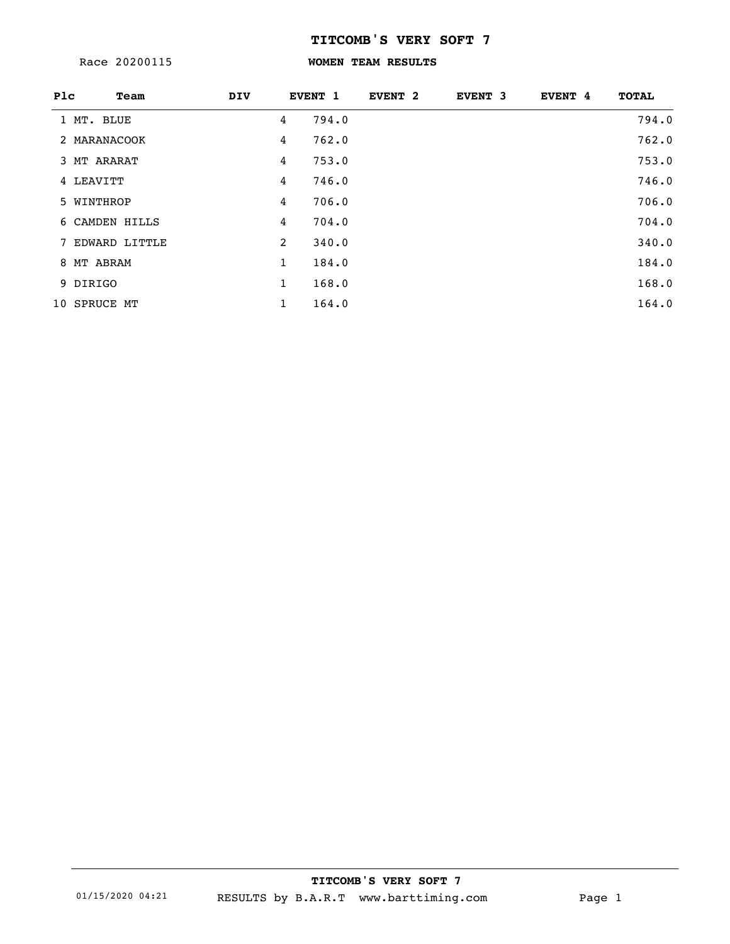Race 20200115

## **WOMEN TEAM RESULTS**

| Plc | Team            | <b>DIV</b> |                | EVENT 1 | EVENT <sub>2</sub> | EVENT 3 | <b>EVENT 4</b> | <b>TOTAL</b> |
|-----|-----------------|------------|----------------|---------|--------------------|---------|----------------|--------------|
|     | 1 MT. BLUE      |            | 4              | 794.0   |                    |         |                | 794.0        |
|     | 2 MARANACOOK    |            | 4              | 762.0   |                    |         |                | 762.0        |
|     | 3 MT ARARAT     |            | 4              | 753.0   |                    |         |                | 753.0        |
|     | 4 LEAVITT       |            | 4              | 746.0   |                    |         |                | 746.0        |
|     | 5 WINTHROP      |            | 4              | 706.0   |                    |         |                | 706.0        |
|     | 6 CAMDEN HILLS  |            | 4              | 704.0   |                    |         |                | 704.0        |
|     | 7 EDWARD LITTLE |            | $\overline{2}$ | 340.0   |                    |         |                | 340.0        |
|     | 8 MT ABRAM      |            | 1              | 184.0   |                    |         |                | 184.0        |
|     | 9 DIRIGO        |            | $\mathbf{1}$   | 168.0   |                    |         |                | 168.0        |
|     | 10 SPRUCE MT    |            | $\mathbf{1}$   | 164.0   |                    |         |                | 164.0        |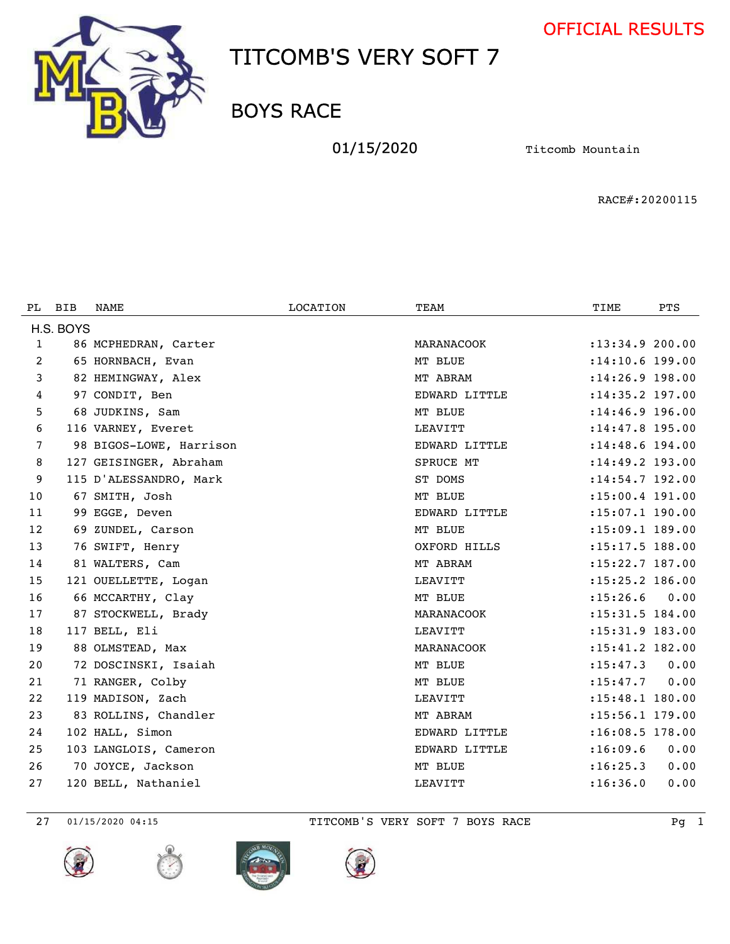



BOYS RACE

01/15/2020 **Titcomb Mountain** 

RACE#:20200115

| PL | <b>BIB</b> | NAME                    | LOCATION | TEAM           | TIME                | <b>PTS</b> |
|----|------------|-------------------------|----------|----------------|---------------------|------------|
|    | H.S. BOYS  |                         |          |                |                     |            |
| 1  |            | 86 MCPHEDRAN, Carter    |          | MARANACOOK     | : 13: 34.9 200.00   |            |
| 2  |            | 65 HORNBACH, Evan       |          | MT BLUE        | $: 14:10.6$ 199.00  |            |
| 3  |            | 82 HEMINGWAY, Alex      |          | MT ABRAM       | $: 14:26.9$ 198.00  |            |
| 4  |            | 97 CONDIT, Ben          |          | EDWARD LITTLE  | :14:35.2 197.00     |            |
| 5  |            | 68 JUDKINS, Sam         |          | MT BLUE        | $: 14:46.9$ 196.00  |            |
| 6  |            | 116 VARNEY, Everet      |          | <b>LEAVITT</b> | : 14: 47.8 195.00   |            |
| 7  |            | 98 BIGOS-LOWE, Harrison |          | EDWARD LITTLE  | $: 14: 48.6$ 194.00 |            |
| 8  |            | 127 GEISINGER, Abraham  |          | SPRUCE MT      | $: 14: 49.2$ 193.00 |            |
| 9  |            | 115 D'ALESSANDRO, Mark  |          | ST DOMS        | : 14: 54.7 192.00   |            |
| 10 |            | 67 SMITH, Josh          |          | MT BLUE        | :15:00.4 191.00     |            |
| 11 |            | 99 EGGE, Deven          |          | EDWARD LITTLE  | :15:07.1 190.00     |            |
| 12 |            | 69 ZUNDEL, Carson       |          | MT BLUE        | $: 15:09.1$ 189.00  |            |
| 13 |            | 76 SWIFT, Henry         |          | OXFORD HILLS   | :15:17.5 188.00     |            |
| 14 |            | 81 WALTERS, Cam         |          | MT ABRAM       | :15:22.7 187.00     |            |
| 15 |            | 121 OUELLETTE, Logan    |          | LEAVITT        | $: 15: 25.2$ 186.00 |            |
| 16 |            | 66 MCCARTHY, Clay       |          | MT BLUE        | : 15: 26.6          | 0.00       |
| 17 |            | 87 STOCKWELL, Brady     |          | MARANACOOK     | : 15:31.5 184.00    |            |
| 18 |            | 117 BELL, Eli           |          | LEAVITT        | : 15: 31.9 183.00   |            |
| 19 |            | 88 OLMSTEAD, Max        |          | MARANACOOK     | : 15:41.2 182.00    |            |
| 20 |            | 72 DOSCINSKI, Isaiah    |          | MT BLUE        | : 15: 47.3          | 0.00       |
| 21 |            | 71 RANGER, Colby        |          | MT BLUE        | : 15: 47.7          | 0.00       |
| 22 |            | 119 MADISON, Zach       |          | LEAVITT        | : 15:48.1 180.00    |            |
| 23 |            | 83 ROLLINS, Chandler    |          | MT ABRAM       | $: 15:56.1$ 179.00  |            |
| 24 |            | 102 HALL, Simon         |          | EDWARD LITTLE  | :16:08.5 178.00     |            |
| 25 |            | 103 LANGLOIS, Cameron   |          | EDWARD LITTLE  | : 16:09.6           | 0.00       |
| 26 |            | 70 JOYCE, Jackson       |          | MT BLUE        | : 16: 25.3          | 0.00       |
| 27 |            | 120 BELL, Nathaniel     |          | LEAVITT        | : 16:36.0           | 0.00       |









01/15/2020 04:15 TITCOMB'S VERY SOFT 7 BOYS RACE Pg 1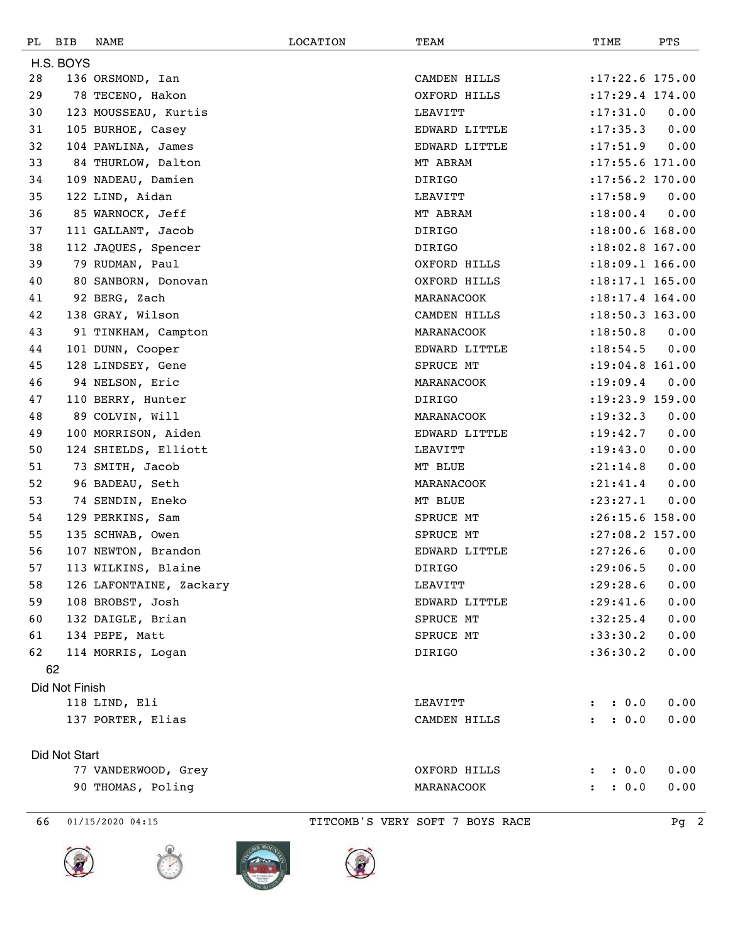| РL | BIB            | NAME                    | LOCATION | TEAM          | TIME                          | PTS  |
|----|----------------|-------------------------|----------|---------------|-------------------------------|------|
|    | H.S. BOYS      |                         |          |               |                               |      |
| 28 |                | 136 ORSMOND, Ian        |          | CAMDEN HILLS  | $:17:22.6$ 175.00             |      |
| 29 |                | 78 TECENO, Hakon        |          | OXFORD HILLS  | $: 17: 29.4$ 174.00           |      |
| 30 |                | 123 MOUSSEAU, Kurtis    |          | LEAVITT       | : 17: 31.0                    | 0.00 |
| 31 |                | 105 BURHOE, Casey       |          | EDWARD LITTLE | : 17: 35.3                    | 0.00 |
| 32 |                | 104 PAWLINA, James      |          | EDWARD LITTLE | : 17: 51.9                    | 0.00 |
| 33 |                | 84 THURLOW, Dalton      |          | MT ABRAM      | $: 17: 55.6$ 171.00           |      |
| 34 |                | 109 NADEAU, Damien      |          | DIRIGO        | $: 17:56.2$ 170.00            |      |
| 35 |                | 122 LIND, Aidan         |          | LEAVITT       | : 17:58.9                     | 0.00 |
| 36 |                | 85 WARNOCK, Jeff        |          | MT ABRAM      | : 18:00.4                     | 0.00 |
| 37 |                | 111 GALLANT, Jacob      |          | DIRIGO        | $: 18:00.6$ 168.00            |      |
| 38 |                | 112 JAQUES, Spencer     |          | DIRIGO        | $: 18:02.8$ 167.00            |      |
| 39 |                | 79 RUDMAN, Paul         |          | OXFORD HILLS  | $: 18:09.1$ 166.00            |      |
| 40 |                | 80 SANBORN, Donovan     |          | OXFORD HILLS  | $: 18: 17.1$ 165.00           |      |
| 41 |                | 92 BERG, Zach           |          | MARANACOOK    | $: 18: 17.4$ 164.00           |      |
| 42 |                | 138 GRAY, Wilson        |          | CAMDEN HILLS  | $: 18:50.3$ 163.00            |      |
| 43 |                | 91 TINKHAM, Campton     |          | MARANACOOK    | : 18:50.8                     | 0.00 |
| 44 |                | 101 DUNN, Cooper        |          | EDWARD LITTLE | : 18: 54.5                    | 0.00 |
| 45 |                | 128 LINDSEY, Gene       |          | SPRUCE MT     | $: 19:04.8$ 161.00            |      |
| 46 |                | 94 NELSON, Eric         |          | MARANACOOK    | : 19:09.4                     | 0.00 |
| 47 |                | 110 BERRY, Hunter       |          | DIRIGO        | $: 19: 23.9$ 159.00           |      |
| 48 |                | 89 COLVIN, Will         |          | MARANACOOK    | : 19: 32.3                    | 0.00 |
| 49 |                | 100 MORRISON, Aiden     |          | EDWARD LITTLE | : 19: 42.7                    | 0.00 |
| 50 |                | 124 SHIELDS, Elliott    |          | LEAVITT       | : 19: 43.0                    | 0.00 |
| 51 |                | 73 SMITH, Jacob         |          | MT BLUE       | : 21: 14.8                    | 0.00 |
| 52 |                | 96 BADEAU, Seth         |          | MARANACOOK    | : 21: 41.4                    | 0.00 |
| 53 |                | 74 SENDIN, Eneko        |          | MT BLUE       | : 23: 27.1                    | 0.00 |
| 54 |                | 129 PERKINS, Sam        |          | SPRUCE MT     | $: 26:15.6$ 158.00            |      |
| 55 |                | 135 SCHWAB, Owen        |          | SPRUCE MT     | $: 27:08.2$ 157.00            |      |
| 56 |                | 107 NEWTON, Brandon     |          | EDWARD LITTLE | : 27:26.6                     | 0.00 |
| 57 |                | 113 WILKINS, Blaine     |          | DIRIGO        | : 29:06.5                     | 0.00 |
| 58 |                | 126 LAFONTAINE, Zackary |          | LEAVITT       | : 29: 28.6                    | 0.00 |
| 59 |                | 108 BROBST, Josh        |          | EDWARD LITTLE | : 29: 41.6                    | 0.00 |
| 60 |                | 132 DAIGLE, Brian       |          | SPRUCE MT     | :32:25.4                      | 0.00 |
| 61 |                | 134 PEPE, Matt          |          | SPRUCE MT     | : 33:30.2                     | 0.00 |
| 62 |                | 114 MORRIS, Logan       |          | DIRIGO        | :36:30.2                      | 0.00 |
|    | 62             |                         |          |               |                               |      |
|    | Did Not Finish |                         |          |               |                               |      |
|    |                | 118 LIND, Eli           |          | LEAVITT       | : 0.0<br>$\ddot{\phantom{0}}$ | 0.00 |
|    |                | 137 PORTER, Elias       |          | CAMDEN HILLS  | : 0.0<br>$\mathbf{r}$         | 0.00 |
|    | Did Not Start  |                         |          |               |                               |      |
|    |                | 77 VANDERWOOD, Grey     |          | OXFORD HILLS  | : 0.0<br>$\ddot{\phantom{a}}$ | 0.00 |
|    |                | 90 THOMAS, Poling       |          | MARANACOOK    | : 0.0<br>$\ddot{\phantom{a}}$ | 0.00 |
|    |                |                         |          |               |                               |      |





01/15/2020 04:15 TITCOMB'S VERY SOFT 7 BOYS RACE Pg 2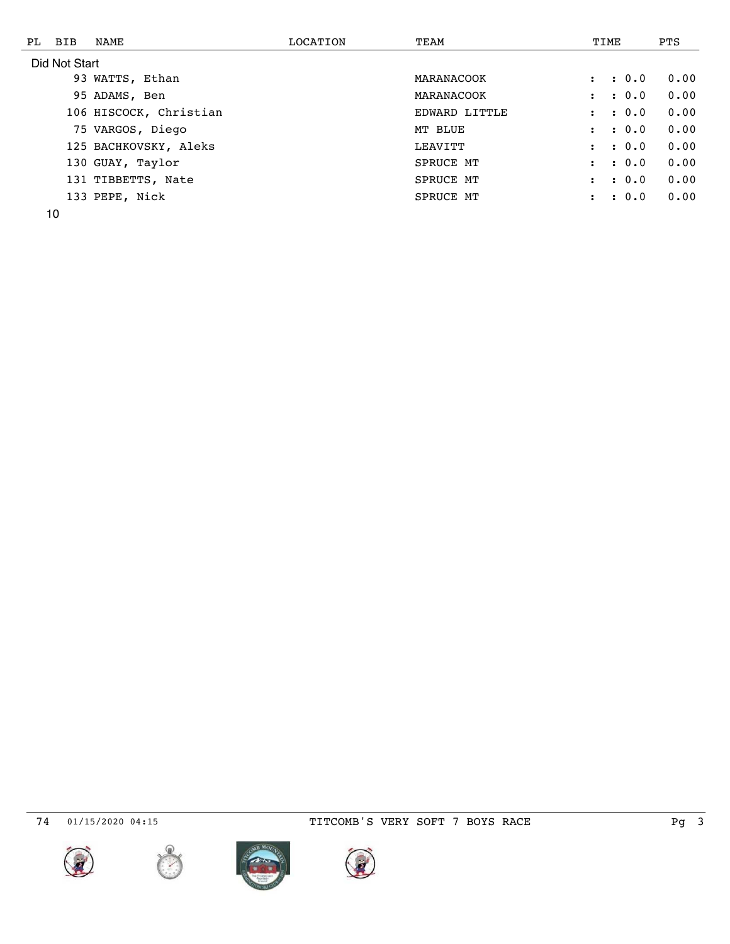| PL BIB        | NAME                   | LOCATION | TEAM              |                      |  | TIME        | PTS  |
|---------------|------------------------|----------|-------------------|----------------------|--|-------------|------|
| Did Not Start |                        |          |                   |                      |  |             |      |
|               | 93 WATTS, Ethan        |          | MARANACOOK        |                      |  | : 0.0       | 0.00 |
|               | 95 ADAMS, Ben          |          | <b>MARANACOOK</b> | $\mathbf{r}$         |  | : 0.0       | 0.00 |
|               | 106 HISCOCK, Christian |          | EDWARD LITTLE     |                      |  | $\cdot$ 0.0 | 0.00 |
|               | 75 VARGOS, Diego       |          | MT BLUE           |                      |  | $\cdot$ 0.0 | 0.00 |
|               | 125 BACHKOVSKY, Aleks  |          | LEAVITT           |                      |  | : 0.0       | 0.00 |
|               | 130 GUAY, Taylor       |          | SPRUCE MT         | $\ddot{\phantom{a}}$ |  | $\cdot$ 0.0 | 0.00 |
|               | 131 TIBBETTS, Nate     |          | SPRUCE MT         | $\ddot{\phantom{a}}$ |  | : 0.0       | 0.00 |
|               | 133 PEPE, Nick         |          | SPRUCE MT         |                      |  | : 0.0       | 0.00 |
|               |                        |          |                   |                      |  |             |      |